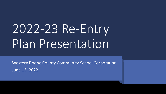# 2022-23 Re-Entry Plan Presentation

Western Boone County Community School Corporation June 13, 2022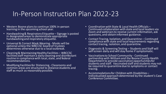#### In-Person Instruction Plan 2022-23

- Western Boone plans to continue 100% in-person learning in the upcoming school year.
- Handwashing & Respiratory Etiquette Signage is posted in designated areas to demonstrate appropriate handwashing and respiratory etiquette.
- Universal & Correct Mask Wearing Masks will be optional unless the WBCCSC board of trustees determines otherwise due to a local outbreak.
- Cleaning & Maintaining Healthy Facilities WBCCSC facilities staff maintain a daily cleaning and disinfectant routine in compliance with local, state, and federal recommendations.
- Modifying Facilities for Distancing Classrooms and common areas are structured to distance students and staff as much as reasonably possible.
- Coordination with State & Local Health Officials Continued collaboration with state and local leaders via Zoom and webinars to receive current information, ask questions, and obtain informed guidance.
- Contact Tracing, Isolation, and Quarantine Continued compliance with state and local requirements regarding contact tracing, isolation, and quarantine.
- Diagnostic & Screening Testing Students and Staff will self-screen daily and will stay home if symptomatic.
- Vaccinations to School Community Continued partnership with Witham and the Boone County Health Department to provide vaccination opportunities for students and staff. Vaccinated staff and students may not be required to quarantine due to symptoms or contact tracing.
- Accommodations for Children with Disabilities Individualized approach determined by the student's Case Conference Committee.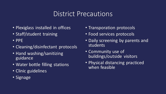## District Precautions

- Plexiglass installed in offices
- Staff/student training
- PPE
- Cleaning/disinfectant protocols
- Hand washing/sanitizing guidance
- Water bottle filling stations
- Clinic guidelines
- Signage
- Transporation protocols
- Food services protocols
- Daily screening by parents and students
- Community use of buildings/outside visitors
- Physical distancing practiced when feasible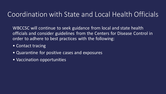## Coordination with State and Local Health Officials

WBCCSC will continue to seek guidance from local and state health officials and consider guidelines from the Centers for Disease Control in order to adhere to best practices with the following:

- Contact tracing
- Quarantine for positive cases and exposures
- Vaccination opportunities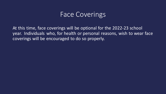#### Face Coverings

At this time, face coverings will be optional for the 2022-23 school year. Individuals who, for health or personal reasons, wish to wear face coverings will be encouraged to do so properly.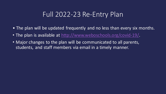## Full 2022-23 Re-Entry Plan

- The plan will be updated frequently and no less than every six months.
- The plan is available at [http://www.weboschools.org/covid-19/.](http://www.weboschools.org/covid-19/)
- Major changes to the plan will be communicated to all parents, students, and staff members via email in a timely manner.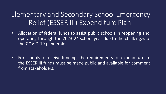## Elementary and Secondary School Emergency Relief (ESSER III) Expenditure Plan

- Allocation of federal funds to assist public schools in reopening and operating through the 2023-24 school year due to the challenges of the COVID-19 pandemic.
- For schools to receive funding, the requirements for expenditures of the ESSER III funds must be made public and available for comment from stakeholders.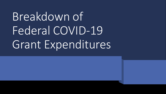## Breakdown of Federal COVID-19 Grant Expenditures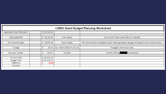| <b>CARES Grant Budget Planning Worksheet</b> |  |                |        |                             |                                                                                                       |  |  |
|----------------------------------------------|--|----------------|--------|-----------------------------|-------------------------------------------------------------------------------------------------------|--|--|
| Approved Project Allocation                  |  | \$147,313.61   |        |                             |                                                                                                       |  |  |
|                                              |  |                |        |                             |                                                                                                       |  |  |
| Salaries/Benefits                            |  | 98,180.35<br>S |        | Instr./Salary               | Hout: 49,372, Marconett: \$38,415 + Benefits                                                          |  |  |
|                                              |  |                |        |                             |                                                                                                       |  |  |
| PPE, General Supply                          |  | 48,639.29<br>S |        | Oper./Supply                | PPE, thermometers, plexiglass shields, cleaning supplies, signage, drinking fountain conversion kits, |  |  |
|                                              |  |                |        |                             |                                                                                                       |  |  |
| Postage                                      |  |                | 60.00  | Gen. Admin/Other Purch. Svc | Postage for Thorntown evals                                                                           |  |  |
|                                              |  |                |        |                             |                                                                                                       |  |  |
| Non-pub. Transfer                            |  |                | 433.97 | Transfers                   | (to Bethesda)<br><b>Transfer to Bburg</b>                                                             |  |  |
|                                              |  |                |        |                             |                                                                                                       |  |  |
| Column Totals                                |  | \$147,313.61   |        |                             |                                                                                                       |  |  |
| <b>Budget Total</b>                          |  | \$147,313.61   |        |                             |                                                                                                       |  |  |
| Difference                                   |  |                | (0.00) |                             |                                                                                                       |  |  |
| Carryover                                    |  |                |        |                             |                                                                                                       |  |  |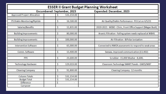| <b>ESSER II Grant Budget Planning Worksheet</b> |                             |                                                              |  |  |  |  |  |
|-------------------------------------------------|-----------------------------|--------------------------------------------------------------|--|--|--|--|--|
|                                                 | Encumbered: September, 2023 | Expended: December, 2023                                     |  |  |  |  |  |
| <b>Approved Project Allocation</b>              | 531,154.00                  |                                                              |  |  |  |  |  |
|                                                 |                             |                                                              |  |  |  |  |  |
| ITS Diakin Montioring/Riptide                   | \$<br>16,500.00             | Air Quality/Daikin Performance - PO Cut on 4/5/21            |  |  |  |  |  |
|                                                 |                             |                                                              |  |  |  |  |  |
| Salaries/Benefits                               | 11,835.00<br>\$             | 2020-2021 - WEBO - Clinic, Front Office Support (Megan Bush) |  |  |  |  |  |
|                                                 |                             |                                                              |  |  |  |  |  |
| <b>Building Improvements</b>                    | \$<br>80,000.00             | Arsenic Filtration - Failing system needs replaced at WBHS   |  |  |  |  |  |
|                                                 |                             |                                                              |  |  |  |  |  |
| <b>Building Improvements</b>                    | \$<br>100,000.00            | Air Filtration - BiPolar Ionization                          |  |  |  |  |  |
| <b>Intervention Software</b>                    |                             |                                                              |  |  |  |  |  |
|                                                 | \$<br>65,000.00             | Connected to NWEA assessments to respond to weak areas       |  |  |  |  |  |
| Comm. Software                                  | \$<br>13,400.00             | Seesaw, improved communication (13,402)                      |  |  |  |  |  |
|                                                 |                             |                                                              |  |  |  |  |  |
| <b>PPE</b>                                      | \$<br>23,600.00             | Scrubber - 15,000 Washer - 8,600,                            |  |  |  |  |  |
|                                                 |                             |                                                              |  |  |  |  |  |
| <b>Technology Hardware</b>                      | \$<br>129,019.00            | Classroom Technology SMART Panels - GWES/WB?                 |  |  |  |  |  |
|                                                 |                             |                                                              |  |  |  |  |  |
| <b>Cleaning Company</b>                         | \$<br>91,800.00             | Cleaning Company - 12 months                                 |  |  |  |  |  |
|                                                 |                             |                                                              |  |  |  |  |  |
| <b>Column Totals</b>                            | \$<br>531,154.00            |                                                              |  |  |  |  |  |
| <b>Budget Total</b>                             | \$<br>531,154.00            |                                                              |  |  |  |  |  |
| <b>Difference</b>                               | \$<br>۰                     |                                                              |  |  |  |  |  |
| Carryover                                       |                             |                                                              |  |  |  |  |  |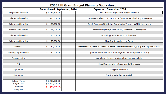| <b>ESSER III Grant Budget Planning Worksheet</b> |                             |                                                                                                 |  |  |  |  |  |
|--------------------------------------------------|-----------------------------|-------------------------------------------------------------------------------------------------|--|--|--|--|--|
|                                                  | Encumbered: September, 2024 | Expended: December, 2024                                                                        |  |  |  |  |  |
| <b>Projected Allocation</b>                      | \$1,177,824.00              | Not Finalized, Application not yet available                                                    |  |  |  |  |  |
|                                                  |                             |                                                                                                 |  |  |  |  |  |
| Salaries and Benefits                            | 550,000.00<br>\$            | 2 Counselors (elem), 1 Social Worker (HS) - one each building, three years                      |  |  |  |  |  |
|                                                  |                             |                                                                                                 |  |  |  |  |  |
| Salaries and Benefits                            | \$<br>180,000.00            | Credit Recovery/CCR/Online Coordinator Teacher - WBHS, three years                              |  |  |  |  |  |
| Salaries and Benefits                            |                             |                                                                                                 |  |  |  |  |  |
|                                                  | \$<br>165,000.00            | Internal Air Quality Coordinator (Maintenance), three years                                     |  |  |  |  |  |
| Salaries and Benefits                            | 75,000.00<br>\$.            | Technology Assistant - GWES, three years                                                        |  |  |  |  |  |
|                                                  |                             |                                                                                                 |  |  |  |  |  |
| Salaries and Benefits                            | \$<br>50,000.00             | Class Size Reduction - 1st Grade                                                                |  |  |  |  |  |
|                                                  |                             |                                                                                                 |  |  |  |  |  |
| Stipends                                         | \$<br>30,000.00             | After school support, All 3 schools, certified staff members or highly qualified paras, 3 years |  |  |  |  |  |
|                                                  |                             |                                                                                                 |  |  |  |  |  |
| <b>Building Improvements</b>                     | 150,000.00<br>\$            | Updated, web-based HVAC Building Controls to improve air quality                                |  |  |  |  |  |
|                                                  |                             |                                                                                                 |  |  |  |  |  |
| Transportation                                   |                             | extra buses, drivers for After-school homework help                                             |  |  |  |  |  |
| <b>PPE</b>                                       |                             | Soap Dispensers in restrooms and other needs                                                    |  |  |  |  |  |
|                                                  |                             |                                                                                                 |  |  |  |  |  |
| Equipment                                        |                             | Playground Needs?                                                                               |  |  |  |  |  |
|                                                  |                             |                                                                                                 |  |  |  |  |  |
| Eqiupment                                        |                             | Furniture - Collaboration Lab                                                                   |  |  |  |  |  |
|                                                  |                             |                                                                                                 |  |  |  |  |  |
| <b>Column Totals</b>                             | \$1,200,000.00              |                                                                                                 |  |  |  |  |  |
| <b>Budget Total</b>                              | \$1,200,000.00              |                                                                                                 |  |  |  |  |  |
| <b>Difference</b>                                | \$<br>(22, 176.00)          |                                                                                                 |  |  |  |  |  |
| Carryover                                        |                             |                                                                                                 |  |  |  |  |  |